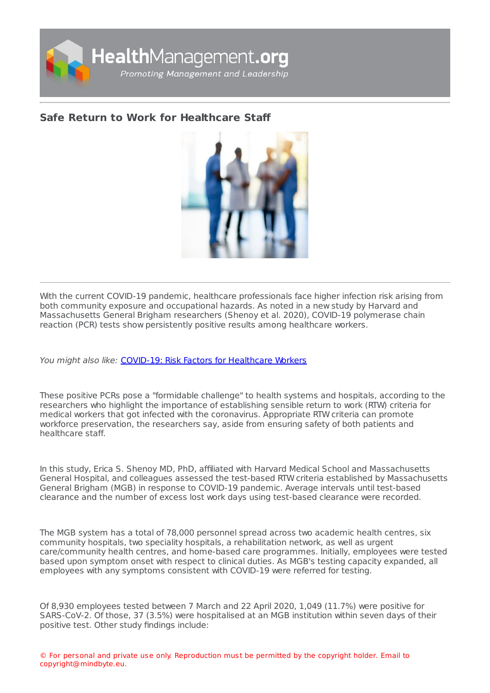

## **Safe Return to Work for [Healthcare](https://healthmanagement.org/s/safe-return-to-work-for-healthcare-staff) Staff**



With the current COVID-19 pandemic, healthcare professionals face higher infection risk arising from both community exposure and occupational hazards. As noted in a new study by Harvard and Massachusetts General Brigham researchers (Shenoy et al. 2020), COVID-19 polymerase chain reaction (PCR) tests show persistently positive results among healthcare workers.

You might also like: COVID-19: Risk Factors for [Healthcare](https://healthmanagement.org/c/hospital/news/covid-19-risk-factors-for-healthcare-workers) Workers

These positive PCRs pose a "formidable challenge" to health systems and hospitals, according to the researchers who highlight the importance of establishing sensible return to work (RTW) criteria for medical workers that got infected with the coronavirus. Appropriate RTW criteria can promote workforce preservation, the researchers say, aside from ensuring safety of both patients and healthcare staff.

In this study, Erica S. Shenoy MD, PhD, affiliated with Harvard Medical School and Massachusetts General Hospital, and colleagues assessed the test-based RTW criteria established by Massachusetts General Brigham (MGB) in response to COVID-19 pandemic. Average intervals until test-based clearance and the number of excess lost work days using test-based clearance were recorded.

The MGB system has a total of 78,000 personnel spread across two academic health centres, six community hospitals, two speciality hospitals, a rehabilitation network, as well as urgent care/community health centres, and home-based care programmes. Initially, employees were tested based upon symptom onset with respect to clinical duties. As MGB's testing capacity expanded, all employees with any symptoms consistent with COVID-19 were referred for testing.

Of 8,930 employees tested between 7 March and 22 April 2020, 1,049 (11.7%) were positive for SARS-CoV-2. Of those, 37 (3.5%) were hospitalised at an MGB institution within seven days of their positive test. Other study findings include: